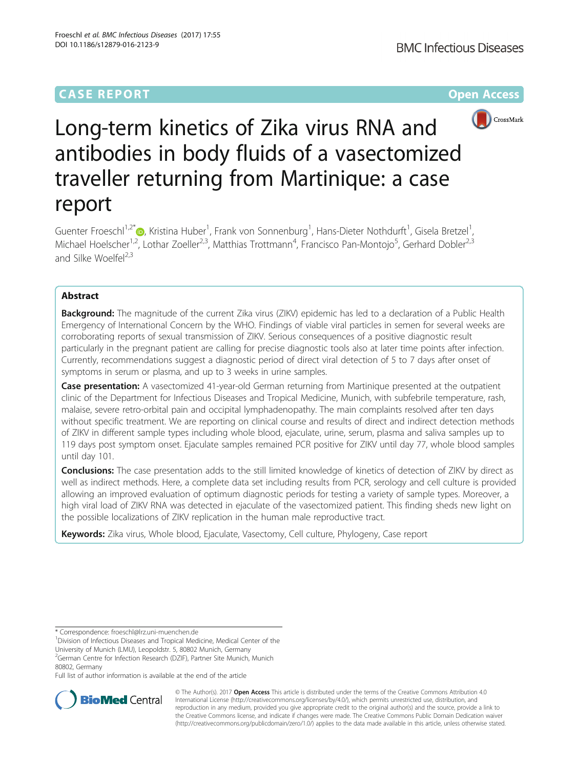## **CASE REPORT CASE ACCESS**



# Long-term kinetics of Zika virus RNA and antibodies in body fluids of a vasectomized traveller returning from Martinique: a case report

Guenter Froeschl<sup>1[,](http://orcid.org/0000-0003-2743-7555)2\*</sup>®, Kristina Huber<sup>1</sup>, Frank von Sonnenburg<sup>1</sup>, Hans-Dieter Nothdurft<sup>1</sup>, Gisela Bretzel<sup>1</sup> , Michael Hoelscher<sup>1,2</sup>, Lothar Zoeller<sup>2,3</sup>, Matthias Trottmann<sup>4</sup>, Francisco Pan-Montojo<sup>5</sup>, Gerhard Dobler<sup>2,3</sup> and Silke Woelfel $^{2,3}$ 

## Abstract

Background: The magnitude of the current Zika virus (ZIKV) epidemic has led to a declaration of a Public Health Emergency of International Concern by the WHO. Findings of viable viral particles in semen for several weeks are corroborating reports of sexual transmission of ZIKV. Serious consequences of a positive diagnostic result particularly in the pregnant patient are calling for precise diagnostic tools also at later time points after infection. Currently, recommendations suggest a diagnostic period of direct viral detection of 5 to 7 days after onset of symptoms in serum or plasma, and up to 3 weeks in urine samples.

Case presentation: A vasectomized 41-year-old German returning from Martinique presented at the outpatient clinic of the Department for Infectious Diseases and Tropical Medicine, Munich, with subfebrile temperature, rash, malaise, severe retro-orbital pain and occipital lymphadenopathy. The main complaints resolved after ten days without specific treatment. We are reporting on clinical course and results of direct and indirect detection methods of ZIKV in different sample types including whole blood, ejaculate, urine, serum, plasma and saliva samples up to 119 days post symptom onset. Ejaculate samples remained PCR positive for ZIKV until day 77, whole blood samples until day 101.

**Conclusions:** The case presentation adds to the still limited knowledge of kinetics of detection of ZIKV by direct as well as indirect methods. Here, a complete data set including results from PCR, serology and cell culture is provided allowing an improved evaluation of optimum diagnostic periods for testing a variety of sample types. Moreover, a high viral load of ZIKV RNA was detected in ejaculate of the vasectomized patient. This finding sheds new light on the possible localizations of ZIKV replication in the human male reproductive tract.

Keywords: Zika virus, Whole blood, Ejaculate, Vasectomy, Cell culture, Phylogeny, Case report

<sup>1</sup> Division of Infectious Diseases and Tropical Medicine, Medical Center of the

University of Munich (LMU), Leopoldstr. 5, 80802 Munich, Germany <sup>2</sup>German Centre for Infection Research (DZIF), Partner Site Munich, Munich

80802, Germany

Full list of author information is available at the end of the article



© The Author(s). 2017 **Open Access** This article is distributed under the terms of the Creative Commons Attribution 4.0 International License [\(http://creativecommons.org/licenses/by/4.0/](http://creativecommons.org/licenses/by/4.0/)), which permits unrestricted use, distribution, and reproduction in any medium, provided you give appropriate credit to the original author(s) and the source, provide a link to the Creative Commons license, and indicate if changes were made. The Creative Commons Public Domain Dedication waiver [\(http://creativecommons.org/publicdomain/zero/1.0/](http://creativecommons.org/publicdomain/zero/1.0/)) applies to the data made available in this article, unless otherwise stated.

<sup>\*</sup> Correspondence: [froeschl@lrz.uni-muenchen.de](mailto:froeschl@lrz.uni-muenchen.de) <sup>1</sup>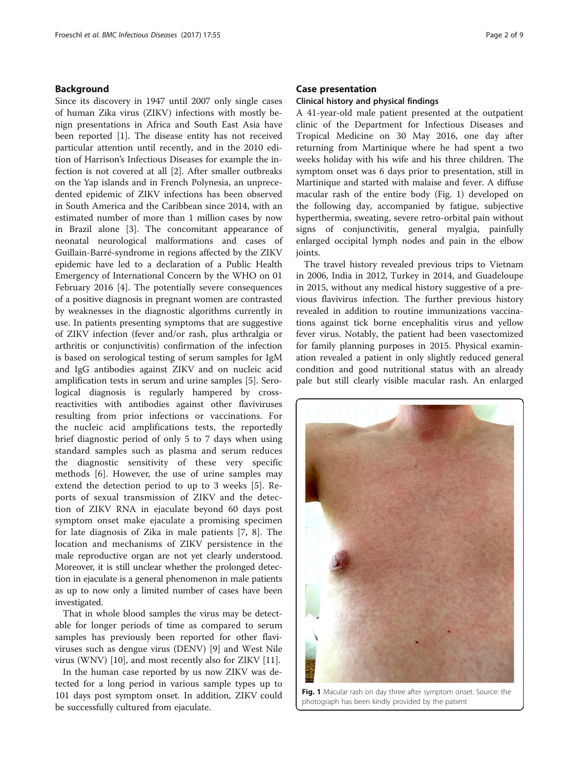## Background

Since its discovery in 1947 until 2007 only single cases of human Zika virus (ZIKV) infections with mostly benign presentations in Africa and South East Asia have been reported [\[1](#page-7-0)]. The disease entity has not received particular attention until recently, and in the 2010 edition of Harrison's Infectious Diseases for example the infection is not covered at all [[2\]](#page-7-0). After smaller outbreaks on the Yap islands and in French Polynesia, an unprecedented epidemic of ZIKV infections has been observed in South America and the Caribbean since 2014, with an estimated number of more than 1 million cases by now in Brazil alone [[3\]](#page-7-0). The concomitant appearance of neonatal neurological malformations and cases of Guillain-Barré-syndrome in regions affected by the ZIKV epidemic have led to a declaration of a Public Health Emergency of International Concern by the WHO on 01 February 2016 [[4\]](#page-7-0). The potentially severe consequences of a positive diagnosis in pregnant women are contrasted by weaknesses in the diagnostic algorithms currently in use. In patients presenting symptoms that are suggestive of ZIKV infection (fever and/or rash, plus arthralgia or arthritis or conjunctivitis) confirmation of the infection is based on serological testing of serum samples for IgM and IgG antibodies against ZIKV and on nucleic acid amplification tests in serum and urine samples [\[5](#page-7-0)]. Serological diagnosis is regularly hampered by crossreactivities with antibodies against other flaviviruses resulting from prior infections or vaccinations. For the nucleic acid amplifications tests, the reportedly brief diagnostic period of only 5 to 7 days when using standard samples such as plasma and serum reduces the diagnostic sensitivity of these very specific methods [[6\]](#page-7-0). However, the use of urine samples may extend the detection period to up to 3 weeks [[5\]](#page-7-0). Reports of sexual transmission of ZIKV and the detection of ZIKV RNA in ejaculate beyond 60 days post symptom onset make ejaculate a promising specimen for late diagnosis of Zika in male patients [[7, 8](#page-7-0)]. The location and mechanisms of ZIKV persistence in the male reproductive organ are not yet clearly understood. Moreover, it is still unclear whether the prolonged detection in ejaculate is a general phenomenon in male patients as up to now only a limited number of cases have been investigated.

That in whole blood samples the virus may be detectable for longer periods of time as compared to serum samples has previously been reported for other flaviviruses such as dengue virus (DENV) [[9\]](#page-7-0) and West Nile virus (WNV) [[10](#page-7-0)], and most recently also for ZIKV [\[11](#page-7-0)].

In the human case reported by us now ZIKV was detected for a long period in various sample types up to 101 days post symptom onset. In addition, ZIKV could be successfully cultured from ejaculate.

## Case presentation

#### Clinical history and physical findings

A 41-year-old male patient presented at the outpatient clinic of the Department for Infectious Diseases and Tropical Medicine on 30 May 2016, one day after returning from Martinique where he had spent a two weeks holiday with his wife and his three children. The symptom onset was 6 days prior to presentation, still in Martinique and started with malaise and fever. A diffuse macular rash of the entire body (Fig. 1) developed on the following day, accompanied by fatigue, subjective hyperthermia, sweating, severe retro-orbital pain without signs of conjunctivitis, general myalgia, painfully enlarged occipital lymph nodes and pain in the elbow joints.

The travel history revealed previous trips to Vietnam in 2006, India in 2012, Turkey in 2014, and Guadeloupe in 2015, without any medical history suggestive of a previous flavivirus infection. The further previous history revealed in addition to routine immunizations vaccinations against tick borne encephalitis virus and yellow fever virus. Notably, the patient had been vasectomized for family planning purposes in 2015. Physical examination revealed a patient in only slightly reduced general condition and good nutritional status with an already pale but still clearly visible macular rash. An enlarged



Fig. 1 Macular rash on day three after symptom onset. Source: the photograph has been kindly provided by the patient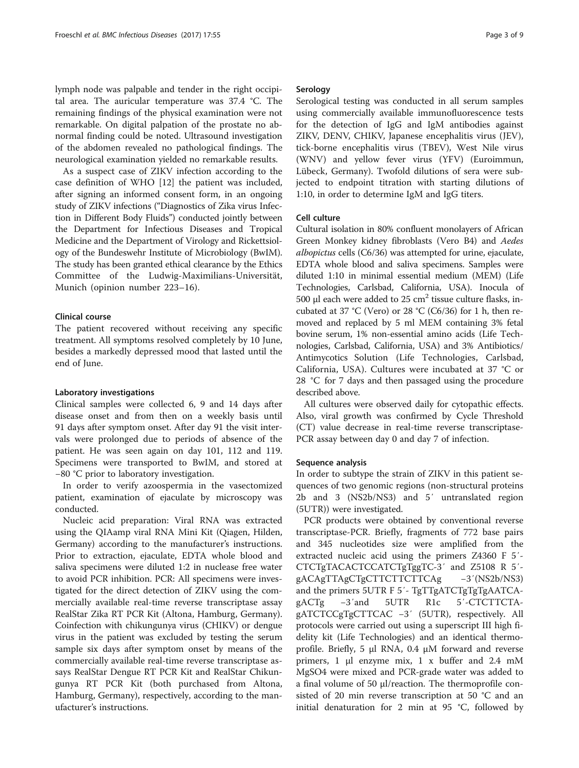lymph node was palpable and tender in the right occipital area. The auricular temperature was 37.4 °C. The remaining findings of the physical examination were not remarkable. On digital palpation of the prostate no abnormal finding could be noted. Ultrasound investigation of the abdomen revealed no pathological findings. The neurological examination yielded no remarkable results.

As a suspect case of ZIKV infection according to the case definition of WHO [[12](#page-7-0)] the patient was included, after signing an informed consent form, in an ongoing study of ZIKV infections ("Diagnostics of Zika virus Infection in Different Body Fluids") conducted jointly between the Department for Infectious Diseases and Tropical Medicine and the Department of Virology and Rickettsiology of the Bundeswehr Institute of Microbiology (BwIM). The study has been granted ethical clearance by the Ethics Committee of the Ludwig-Maximilians-Universität, Munich (opinion number 223–16).

## Clinical course

The patient recovered without receiving any specific treatment. All symptoms resolved completely by 10 June, besides a markedly depressed mood that lasted until the end of June.

## Laboratory investigations

Clinical samples were collected 6, 9 and 14 days after disease onset and from then on a weekly basis until 91 days after symptom onset. After day 91 the visit intervals were prolonged due to periods of absence of the patient. He was seen again on day 101, 112 and 119. Specimens were transported to BwIM, and stored at −80 °C prior to laboratory investigation.

In order to verify azoospermia in the vasectomized patient, examination of ejaculate by microscopy was conducted.

Nucleic acid preparation: Viral RNA was extracted using the QIAamp viral RNA Mini Kit (Qiagen, Hilden, Germany) according to the manufacturer's instructions. Prior to extraction, ejaculate, EDTA whole blood and saliva specimens were diluted 1:2 in nuclease free water to avoid PCR inhibition. PCR: All specimens were investigated for the direct detection of ZIKV using the commercially available real-time reverse transcriptase assay RealStar Zika RT PCR Kit (Altona, Hamburg, Germany). Coinfection with chikungunya virus (CHIKV) or dengue virus in the patient was excluded by testing the serum sample six days after symptom onset by means of the commercially available real-time reverse transcriptase assays RealStar Dengue RT PCR Kit and RealStar Chikungunya RT PCR Kit (both purchased from Altona, Hamburg, Germany), respectively, according to the manufacturer's instructions.

## Serology

Serological testing was conducted in all serum samples using commercially available immunofluorescence tests for the detection of IgG and IgM antibodies against ZIKV, DENV, CHIKV, Japanese encephalitis virus (JEV), tick-borne encephalitis virus (TBEV), West Nile virus (WNV) and yellow fever virus (YFV) (Euroimmun, Lübeck, Germany). Twofold dilutions of sera were subjected to endpoint titration with starting dilutions of 1:10, in order to determine IgM and IgG titers.

## Cell culture

Cultural isolation in 80% confluent monolayers of African Green Monkey kidney fibroblasts (Vero B4) and Aedes albopictus cells (C6/36) was attempted for urine, ejaculate, EDTA whole blood and saliva specimens. Samples were diluted 1:10 in minimal essential medium (MEM) (Life Technologies, Carlsbad, California, USA). Inocula of 500 μl each were added to 25  $cm<sup>2</sup>$  tissue culture flasks, incubated at 37 °C (Vero) or 28 °C (C6/36) for 1 h, then removed and replaced by 5 ml MEM containing 3% fetal bovine serum, 1% non-essential amino acids (Life Technologies, Carlsbad, California, USA) and 3% Antibiotics/ Antimycotics Solution (Life Technologies, Carlsbad, California, USA). Cultures were incubated at 37 °C or 28 °C for 7 days and then passaged using the procedure described above.

All cultures were observed daily for cytopathic effects. Also, viral growth was confirmed by Cycle Threshold (CT) value decrease in real-time reverse transcriptase-PCR assay between day 0 and day 7 of infection.

#### Sequence analysis

In order to subtype the strain of ZIKV in this patient sequences of two genomic regions (non-structural proteins 2b and 3 (NS2b/NS3) and 5′ untranslated region (5UTR)) were investigated.

PCR products were obtained by conventional reverse transcriptase-PCR. Briefly, fragments of 772 base pairs and 345 nucleotides size were amplified from the extracted nucleic acid using the primers Z4360 F 5′- CTCTgTACACTCCATCTgTggTC-3′ and Z5108 R 5′ gACAgTTAgCTgCTTCTTCTTCAg −3′(NS2b/NS3) and the primers 5UTR F 5′- TgTTgATCTgTgTgAATCAgACTg −3′and 5UTR R1c 5′-CTCTTCTAgATCTCCgTgCTTCAC −3′ (5UTR), respectively. All protocols were carried out using a superscript III high fidelity kit (Life Technologies) and an identical thermoprofile. Briefly, 5 μl RNA, 0.4 μM forward and reverse primers, 1 μl enzyme mix, 1 x buffer and 2.4 mM MgSO4 were mixed and PCR-grade water was added to a final volume of 50 μl/reaction. The thermoprofile consisted of 20 min reverse transcription at 50 °C and an initial denaturation for 2 min at 95 °C, followed by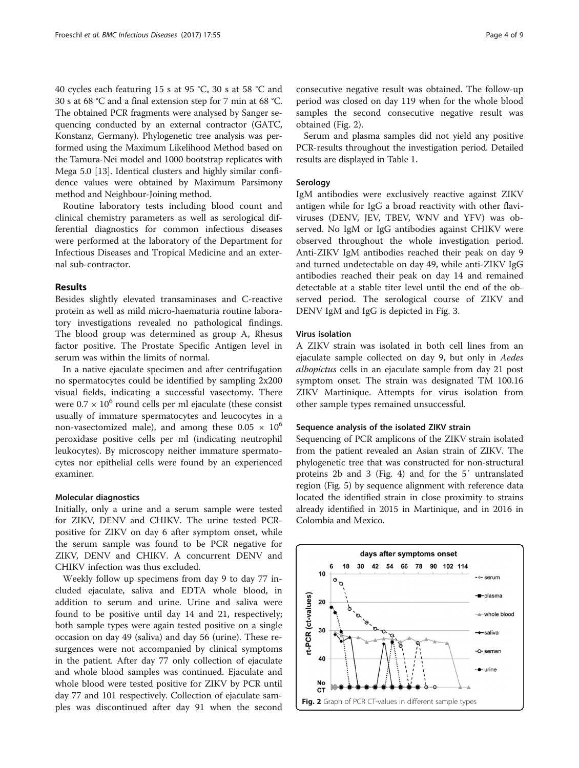40 cycles each featuring 15 s at 95 °C, 30 s at 58 °C and 30 s at 68 °C and a final extension step for 7 min at 68 °C. The obtained PCR fragments were analysed by Sanger sequencing conducted by an external contractor (GATC, Konstanz, Germany). Phylogenetic tree analysis was performed using the Maximum Likelihood Method based on the Tamura-Nei model and 1000 bootstrap replicates with Mega 5.0 [[13](#page-7-0)]. Identical clusters and highly similar confidence values were obtained by Maximum Parsimony method and Neighbour-Joining method.

Routine laboratory tests including blood count and clinical chemistry parameters as well as serological differential diagnostics for common infectious diseases were performed at the laboratory of the Department for Infectious Diseases and Tropical Medicine and an external sub-contractor.

## Results

Besides slightly elevated transaminases and C-reactive protein as well as mild micro-haematuria routine laboratory investigations revealed no pathological findings. The blood group was determined as group A, Rhesus factor positive. The Prostate Specific Antigen level in serum was within the limits of normal.

In a native ejaculate specimen and after centrifugation no spermatocytes could be identified by sampling 2x200 visual fields, indicating a successful vasectomy. There were  $0.7 \times 10^6$  round cells per ml ejaculate (these consist usually of immature spermatocytes and leucocytes in a non-vasectomized male), and among these  $0.05 \times 10^6$ peroxidase positive cells per ml (indicating neutrophil leukocytes). By microscopy neither immature spermatocytes nor epithelial cells were found by an experienced examiner.

## Molecular diagnostics

Initially, only a urine and a serum sample were tested for ZIKV, DENV and CHIKV. The urine tested PCRpositive for ZIKV on day 6 after symptom onset, while the serum sample was found to be PCR negative for ZIKV, DENV and CHIKV. A concurrent DENV and CHIKV infection was thus excluded.

Weekly follow up specimens from day 9 to day 77 included ejaculate, saliva and EDTA whole blood, in addition to serum and urine. Urine and saliva were found to be positive until day 14 and 21, respectively; both sample types were again tested positive on a single occasion on day 49 (saliva) and day 56 (urine). These resurgences were not accompanied by clinical symptoms in the patient. After day 77 only collection of ejaculate and whole blood samples was continued. Ejaculate and whole blood were tested positive for ZIKV by PCR until day 77 and 101 respectively. Collection of ejaculate samples was discontinued after day 91 when the second

consecutive negative result was obtained. The follow-up period was closed on day 119 when for the whole blood samples the second consecutive negative result was obtained (Fig. 2).

Serum and plasma samples did not yield any positive PCR-results throughout the investigation period. Detailed results are displayed in Table [1.](#page-4-0)

#### Serology

IgM antibodies were exclusively reactive against ZIKV antigen while for IgG a broad reactivity with other flaviviruses (DENV, JEV, TBEV, WNV and YFV) was observed. No IgM or IgG antibodies against CHIKV were observed throughout the whole investigation period. Anti-ZIKV IgM antibodies reached their peak on day 9 and turned undetectable on day 49, while anti-ZIKV IgG antibodies reached their peak on day 14 and remained detectable at a stable titer level until the end of the observed period. The serological course of ZIKV and DENV IgM and IgG is depicted in Fig. [3.](#page-4-0)

## Virus isolation

A ZIKV strain was isolated in both cell lines from an ejaculate sample collected on day 9, but only in Aedes albopictus cells in an ejaculate sample from day 21 post symptom onset. The strain was designated TM 100.16 ZIKV Martinique. Attempts for virus isolation from other sample types remained unsuccessful.

## Sequence analysis of the isolated ZIKV strain

Sequencing of PCR amplicons of the ZIKV strain isolated from the patient revealed an Asian strain of ZIKV. The phylogenetic tree that was constructed for non-structural proteins 2b and 3 (Fig. [4\)](#page-5-0) and for the 5′ untranslated region (Fig. [5\)](#page-5-0) by sequence alignment with reference data located the identified strain in close proximity to strains already identified in 2015 in Martinique, and in 2016 in Colombia and Mexico.

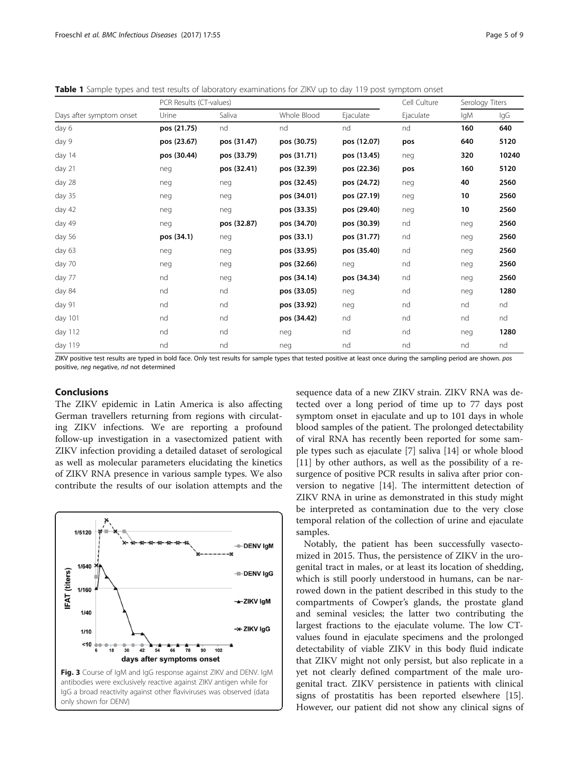<span id="page-4-0"></span>Table 1 Sample types and test results of laboratory examinations for ZIKV up to day 119 post symptom onset

| Days after symptom onset | PCR Results (CT-values) |             |             |             | Cell Culture | Serology Titers |       |
|--------------------------|-------------------------|-------------|-------------|-------------|--------------|-----------------|-------|
|                          | Urine                   | Saliva      | Whole Blood | Ejaculate   | Ejaculate    | lgM             | lgG   |
| day 6                    | pos (21.75)             | nd          | nd          | nd          | nd           | 160             | 640   |
| day 9                    | pos (23.67)             | pos (31.47) | pos (30.75) | pos (12.07) | pos          | 640             | 5120  |
| day 14                   | pos (30.44)             | pos (33.79) | pos (31.71) | pos (13.45) | neg          | 320             | 10240 |
| day 21                   | neg                     | pos (32.41) | pos (32.39) | pos (22.36) | pos          | 160             | 5120  |
| day 28                   | neg                     | neg         | pos (32.45) | pos (24.72) | neg          | 40              | 2560  |
| day 35                   | neg                     | neg         | pos (34.01) | pos (27.19) | neg          | 10              | 2560  |
| day 42                   | neg                     | neg         | pos (33.35) | pos (29.40) | neg          | 10              | 2560  |
| day 49                   | neg                     | pos (32.87) | pos (34.70) | pos (30.39) | nd           | neg             | 2560  |
| day 56                   | pos (34.1)              | neg         | pos (33.1)  | pos (31.77) | nd           | neg             | 2560  |
| day 63                   | neg                     | neg         | pos (33.95) | pos (35.40) | nd           | neg             | 2560  |
| day 70                   | neg                     | neg         | pos (32.66) | neg         | nd           | neg             | 2560  |
| day 77                   | nd                      | neg         | pos (34.14) | pos (34.34) | nd           | neg             | 2560  |
| day 84                   | nd                      | nd          | pos (33.05) | neg         | nd           | neg             | 1280  |
| day 91                   | nd                      | nd          | pos (33.92) | neg         | nd           | nd              | nd    |
| day 101                  | nd                      | nd          | pos (34.42) | nd          | nd           | nd              | nd    |
| day 112                  | nd                      | nd          | neg         | nd          | nd           | neg             | 1280  |
| day 119                  | nd                      | nd          | neg         | nd          | nd           | nd              | nd    |

ZIKV positive test results are typed in bold face. Only test results for sample types that tested positive at least once during the sampling period are shown. pos positive, neg negative, nd not determined

## Conclusions

The ZIKV epidemic in Latin America is also affecting German travellers returning from regions with circulating ZIKV infections. We are reporting a profound follow-up investigation in a vasectomized patient with ZIKV infection providing a detailed dataset of serological as well as molecular parameters elucidating the kinetics of ZIKV RNA presence in various sample types. We also contribute the results of our isolation attempts and the



sequence data of a new ZIKV strain. ZIKV RNA was detected over a long period of time up to 77 days post symptom onset in ejaculate and up to 101 days in whole blood samples of the patient. The prolonged detectability of viral RNA has recently been reported for some sample types such as ejaculate [[7\]](#page-7-0) saliva [[14\]](#page-7-0) or whole blood [[11\]](#page-7-0) by other authors, as well as the possibility of a resurgence of positive PCR results in saliva after prior conversion to negative [\[14](#page-7-0)]. The intermittent detection of ZIKV RNA in urine as demonstrated in this study might be interpreted as contamination due to the very close temporal relation of the collection of urine and ejaculate samples.

Notably, the patient has been successfully vasectomized in 2015. Thus, the persistence of ZIKV in the urogenital tract in males, or at least its location of shedding, which is still poorly understood in humans, can be narrowed down in the patient described in this study to the compartments of Cowper's glands, the prostate gland and seminal vesicles; the latter two contributing the largest fractions to the ejaculate volume. The low CTvalues found in ejaculate specimens and the prolonged detectability of viable ZIKV in this body fluid indicate that ZIKV might not only persist, but also replicate in a yet not clearly defined compartment of the male urogenital tract. ZIKV persistence in patients with clinical signs of prostatitis has been reported elsewhere [\[15](#page-7-0)]. However, our patient did not show any clinical signs of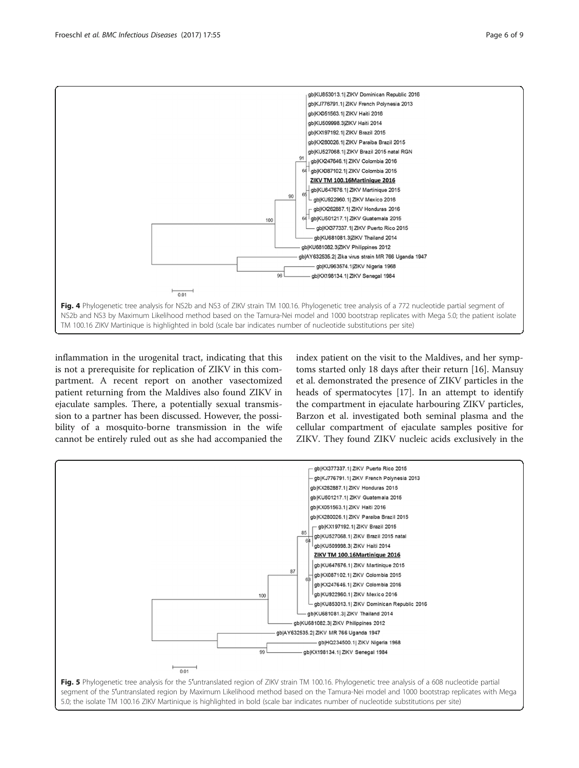<span id="page-5-0"></span>

inflammation in the urogenital tract, indicating that this is not a prerequisite for replication of ZIKV in this compartment. A recent report on another vasectomized patient returning from the Maldives also found ZIKV in ejaculate samples. There, a potentially sexual transmission to a partner has been discussed. However, the possibility of a mosquito-borne transmission in the wife cannot be entirely ruled out as she had accompanied the

index patient on the visit to the Maldives, and her symptoms started only 18 days after their return [\[16\]](#page-7-0). Mansuy et al. demonstrated the presence of ZIKV particles in the heads of spermatocytes [\[17\]](#page-8-0). In an attempt to identify the compartment in ejaculate harbouring ZIKV particles, Barzon et al. investigated both seminal plasma and the cellular compartment of ejaculate samples positive for ZIKV. They found ZIKV nucleic acids exclusively in the

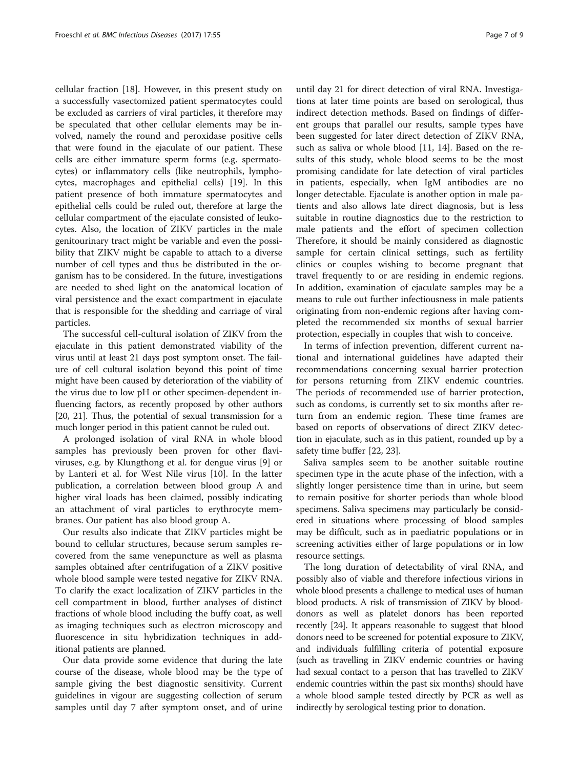cellular fraction [[18\]](#page-8-0). However, in this present study on a successfully vasectomized patient spermatocytes could be excluded as carriers of viral particles, it therefore may be speculated that other cellular elements may be involved, namely the round and peroxidase positive cells that were found in the ejaculate of our patient. These cells are either immature sperm forms (e.g. spermatocytes) or inflammatory cells (like neutrophils, lymphocytes, macrophages and epithelial cells) [[19](#page-8-0)]. In this patient presence of both immature spermatocytes and epithelial cells could be ruled out, therefore at large the cellular compartment of the ejaculate consisted of leukocytes. Also, the location of ZIKV particles in the male genitourinary tract might be variable and even the possibility that ZIKV might be capable to attach to a diverse number of cell types and thus be distributed in the organism has to be considered. In the future, investigations are needed to shed light on the anatomical location of viral persistence and the exact compartment in ejaculate that is responsible for the shedding and carriage of viral particles.

The successful cell-cultural isolation of ZIKV from the ejaculate in this patient demonstrated viability of the virus until at least 21 days post symptom onset. The failure of cell cultural isolation beyond this point of time might have been caused by deterioration of the viability of the virus due to low pH or other specimen-dependent influencing factors, as recently proposed by other authors [[20](#page-8-0), [21\]](#page-8-0). Thus, the potential of sexual transmission for a much longer period in this patient cannot be ruled out.

A prolonged isolation of viral RNA in whole blood samples has previously been proven for other flaviviruses, e.g. by Klungthong et al. for dengue virus [\[9](#page-7-0)] or by Lanteri et al. for West Nile virus [[10](#page-7-0)]. In the latter publication, a correlation between blood group A and higher viral loads has been claimed, possibly indicating an attachment of viral particles to erythrocyte membranes. Our patient has also blood group A.

Our results also indicate that ZIKV particles might be bound to cellular structures, because serum samples recovered from the same venepuncture as well as plasma samples obtained after centrifugation of a ZIKV positive whole blood sample were tested negative for ZIKV RNA. To clarify the exact localization of ZIKV particles in the cell compartment in blood, further analyses of distinct fractions of whole blood including the buffy coat, as well as imaging techniques such as electron microscopy and fluorescence in situ hybridization techniques in additional patients are planned.

Our data provide some evidence that during the late course of the disease, whole blood may be the type of sample giving the best diagnostic sensitivity. Current guidelines in vigour are suggesting collection of serum samples until day 7 after symptom onset, and of urine

until day 21 for direct detection of viral RNA. Investigations at later time points are based on serological, thus indirect detection methods. Based on findings of different groups that parallel our results, sample types have been suggested for later direct detection of ZIKV RNA, such as saliva or whole blood [[11, 14](#page-7-0)]. Based on the results of this study, whole blood seems to be the most promising candidate for late detection of viral particles in patients, especially, when IgM antibodies are no longer detectable. Ejaculate is another option in male patients and also allows late direct diagnosis, but is less suitable in routine diagnostics due to the restriction to male patients and the effort of specimen collection Therefore, it should be mainly considered as diagnostic sample for certain clinical settings, such as fertility clinics or couples wishing to become pregnant that travel frequently to or are residing in endemic regions. In addition, examination of ejaculate samples may be a means to rule out further infectiousness in male patients originating from non-endemic regions after having completed the recommended six months of sexual barrier protection, especially in couples that wish to conceive.

In terms of infection prevention, different current national and international guidelines have adapted their recommendations concerning sexual barrier protection for persons returning from ZIKV endemic countries. The periods of recommended use of barrier protection, such as condoms, is currently set to six months after return from an endemic region. These time frames are based on reports of observations of direct ZIKV detection in ejaculate, such as in this patient, rounded up by a safety time buffer [\[22](#page-8-0), [23\]](#page-8-0).

Saliva samples seem to be another suitable routine specimen type in the acute phase of the infection, with a slightly longer persistence time than in urine, but seem to remain positive for shorter periods than whole blood specimens. Saliva specimens may particularly be considered in situations where processing of blood samples may be difficult, such as in paediatric populations or in screening activities either of large populations or in low resource settings.

The long duration of detectability of viral RNA, and possibly also of viable and therefore infectious virions in whole blood presents a challenge to medical uses of human blood products. A risk of transmission of ZIKV by blooddonors as well as platelet donors has been reported recently [\[24\]](#page-8-0). It appears reasonable to suggest that blood donors need to be screened for potential exposure to ZIKV, and individuals fulfilling criteria of potential exposure (such as travelling in ZIKV endemic countries or having had sexual contact to a person that has travelled to ZIKV endemic countries within the past six months) should have a whole blood sample tested directly by PCR as well as indirectly by serological testing prior to donation.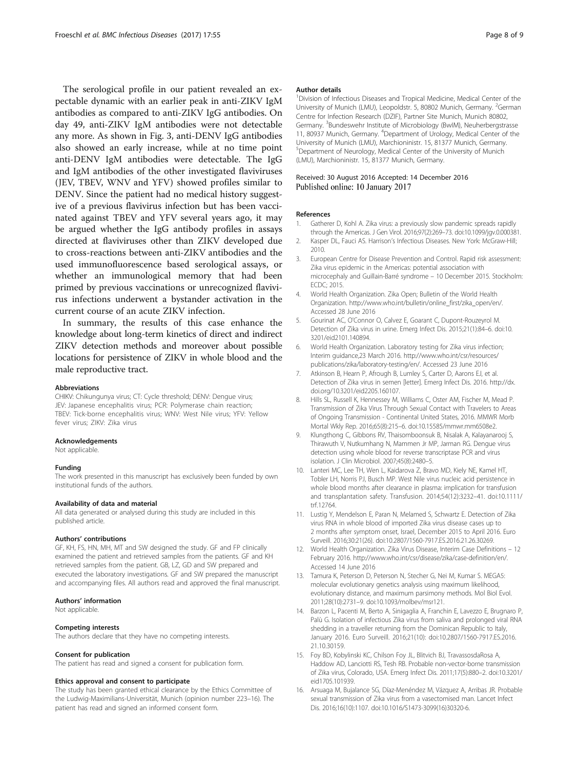<span id="page-7-0"></span>The serological profile in our patient revealed an expectable dynamic with an earlier peak in anti-ZIKV IgM antibodies as compared to anti-ZIKV IgG antibodies. On day 49, anti-ZIKV IgM antibodies were not detectable any more. As shown in Fig. [3,](#page-4-0) anti-DENV IgG antibodies also showed an early increase, while at no time point anti-DENV IgM antibodies were detectable. The IgG and IgM antibodies of the other investigated flaviviruses (JEV, TBEV, WNV and YFV) showed profiles similar to DENV. Since the patient had no medical history suggestive of a previous flavivirus infection but has been vaccinated against TBEV and YFV several years ago, it may be argued whether the IgG antibody profiles in assays directed at flaviviruses other than ZIKV developed due to cross-reactions between anti-ZIKV antibodies and the used immunofluorescence based serological assays, or whether an immunological memory that had been primed by previous vaccinations or unrecognized flavivirus infections underwent a bystander activation in the current course of an acute ZIKV infection.

In summary, the results of this case enhance the knowledge about long-term kinetics of direct and indirect ZIKV detection methods and moreover about possible locations for persistence of ZIKV in whole blood and the male reproductive tract.

#### Abbreviations

CHIKV: Chikungunya virus; CT: Cycle threshold; DENV: Dengue virus; JEV: Japanese encephalitis virus; PCR: Polymerase chain reaction; TBEV: Tick-borne encephalitis virus; WNV: West Nile virus; YFV: Yellow fever virus; ZIKV: Zika virus

#### Acknowledgements

Not applicable.

#### Funding

The work presented in this manuscript has exclusively been funded by own institutional funds of the authors.

#### Availability of data and material

All data generated or analysed during this study are included in this published article.

#### Authors' contributions

GF, KH, FS, HN, MH, MT and SW designed the study. GF and FP clinically examined the patient and retrieved samples from the patients. GF and KH retrieved samples from the patient. GB, LZ, GD and SW prepared and executed the laboratory investigations. GF and SW prepared the manuscript and accompanying files. All authors read and approved the final manuscript.

#### Authors' information

Not applicable.

#### Competing interests

The authors declare that they have no competing interests.

#### Consent for publication

The patient has read and signed a consent for publication form.

## Ethics approval and consent to participate

The study has been granted ethical clearance by the Ethics Committee of the Ludwig-Maximilians-Universität, Munich (opinion number 223–16). The patient has read and signed an informed consent form.

#### Author details

<sup>1</sup> Division of Infectious Diseases and Tropical Medicine, Medical Center of the University of Munich (LMU), Leopoldstr. 5, 80802 Munich, Germany. <sup>2</sup>German Centre for Infection Research (DZIF), Partner Site Munich, Munich 80802, Germany. <sup>3</sup>Bundeswehr Institute of Microbiology (BwIM), Neuherbergstrasse 11, 80937 Munich, Germany. <sup>4</sup>Department of Urology, Medical Center of the University of Munich (LMU), Marchioninistr. 15, 81377 Munich, Germany. <sup>5</sup>Department of Neurology, Medical Center of the University of Munich (LMU), Marchioninistr. 15, 81377 Munich, Germany.

#### Received: 30 August 2016 Accepted: 14 December 2016 Published online: 10 January 2017

#### References

- 1. Gatherer D, Kohl A. Zika virus: a previously slow pandemic spreads rapidly through the Americas. J Gen Virol. 2016;97(2):269–73. doi:[10.1099/jgv.0.000381.](http://dx.doi.org/10.1099/jgv.0.000381)
- 2. Kasper DL, Fauci AS. Harrison's Infectious Diseases. New York: McGraw-Hill; 2010.
- 3. European Centre for Disease Prevention and Control. Rapid risk assessment: Zika virus epidemic in the Americas: potential association with microcephaly and Guillain-Barré syndrome – 10 December 2015. Stockholm: ECDC; 2015.
- 4. World Health Organization. Zika Open; Bulletin of the World Health Organization. [http://www.who.int/bulletin/online\\_first/zika\\_open/en/](http://www.who.int/bulletin/online_first/zika_open/en/). Accessed 28 June 2016
- 5. Gourinat AC, O'Connor O, Calvez E, Goarant C, Dupont-Rouzeyrol M. Detection of Zika virus in urine. Emerg Infect Dis. 2015;21(1):84–6. doi[:10.](http://dx.doi.org/10.3201/eid2101.140894) [3201/eid2101.140894.](http://dx.doi.org/10.3201/eid2101.140894)
- 6. World Health Organization. Laboratory testing for Zika virus infection; Interim guidance,23 March 2016. [http://www.who.int/csr/resources/](http://www.who.int/csr/resources/publications/zika/laboratory-testing/en/) [publications/zika/laboratory-testing/en/.](http://www.who.int/csr/resources/publications/zika/laboratory-testing/en/) Accessed 23 June 2016
- 7. Atkinson B, Hearn P, Afrough B, Lumley S, Carter D, Aarons EJ, et al. Detection of Zika virus in semen [letter]. Emerg Infect Dis. 2016. http://dx. doi.org[/10.3201/eid2205.160107](http://dx.doi.org/10.3201/eid2205.160107).
- 8. Hills SL, Russell K, Hennessey M, Williams C, Oster AM, Fischer M, Mead P. Transmission of Zika Virus Through Sexual Contact with Travelers to Areas of Ongoing Transmission - Continental United States, 2016. MMWR Morb Mortal Wkly Rep. 2016;65(8):215–6. doi:[10.15585/mmwr.mm6508e2](http://dx.doi.org/10.15585/mmwr.mm6508e2).
- 9. Klungthong C, Gibbons RV, Thaisomboonsuk B, Nisalak A, Kalayanarooj S, Thirawuth V, Nutkumhang N, Mammen Jr MP, Jarman RG. Dengue virus detection using whole blood for reverse transcriptase PCR and virus isolation. J Clin Microbiol. 2007;45(8):2480–5.
- 10. Lanteri MC, Lee TH, Wen L, Kaidarova Z, Bravo MD, Kiely NE, Kamel HT, Tobler LH, Norris PJ, Busch MP. West Nile virus nucleic acid persistence in whole blood months after clearance in plasma: implication for transfusion and transplantation safety. Transfusion. 2014;54(12):3232–41. doi:[10.1111/](http://dx.doi.org/10.1111/trf.12764) [trf.12764.](http://dx.doi.org/10.1111/trf.12764)
- 11. Lustig Y, Mendelson E, Paran N, Melamed S, Schwartz E. Detection of Zika virus RNA in whole blood of imported Zika virus disease cases up to 2 months after symptom onset, Israel, December 2015 to April 2016. Euro Surveill. 2016;30:21(26). doi[:10.2807/1560-7917.ES.2016.21.26.30269](http://dx.doi.org/10.2807/1560-7917.ES.2016.21.26.30269).
- 12. World Health Organization. Zika Virus Disease, Interim Case Definitions 12 February 2016. [http://www.who.int/csr/disease/zika/case-definition/en/.](http://www.who.int/csr/disease/zika/case-definition/en/) Accessed 14 June 2016
- 13. Tamura K, Peterson D, Peterson N, Stecher G, Nei M, Kumar S. MEGA5: molecular evolutionary genetics analysis using maximum likelihood, evolutionary distance, and maximum parsimony methods. Mol Biol Evol. 2011;28(10):2731–9. doi[:10.1093/molbev/msr121](http://dx.doi.org/10.1093/molbev/msr121).
- 14. Barzon L, Pacenti M, Berto A, Sinigaglia A, Franchin E, Lavezzo E, Brugnaro P, Palù G. Isolation of infectious Zika virus from saliva and prolonged viral RNA shedding in a traveller returning from the Dominican Republic to Italy, January 2016. Euro Surveill. 2016;21(10): doi:[10.2807/1560-7917.ES.2016.](http://dx.doi.org/10.2807/1560-7917.ES.2016.21.10.30159) [21.10.30159.](http://dx.doi.org/10.2807/1560-7917.ES.2016.21.10.30159)
- 15. Foy BD, Kobylinski KC, Chilson Foy JL, Blitvich BJ, TravassosdaRosa A, Haddow AD, Lanciotti RS, Tesh RB. Probable non-vector-borne transmission of Zika virus, Colorado, USA. Emerg Infect Dis. 2011;17(5):880–2. doi[:10.3201/](http://dx.doi.org/10.3201/eid1705.101939) [eid1705.101939.](http://dx.doi.org/10.3201/eid1705.101939)
- 16. Arsuaga M, Bujalance SG, Díaz-Menéndez M, Vázquez A, Arribas JR. Probable sexual transmission of Zika virus from a vasectomised man. Lancet Infect Dis. 2016;16(10):1107. doi[:10.1016/S1473-3099\(16\)30320-6](http://dx.doi.org/10.1016/S1473-3099(16)30320-6).